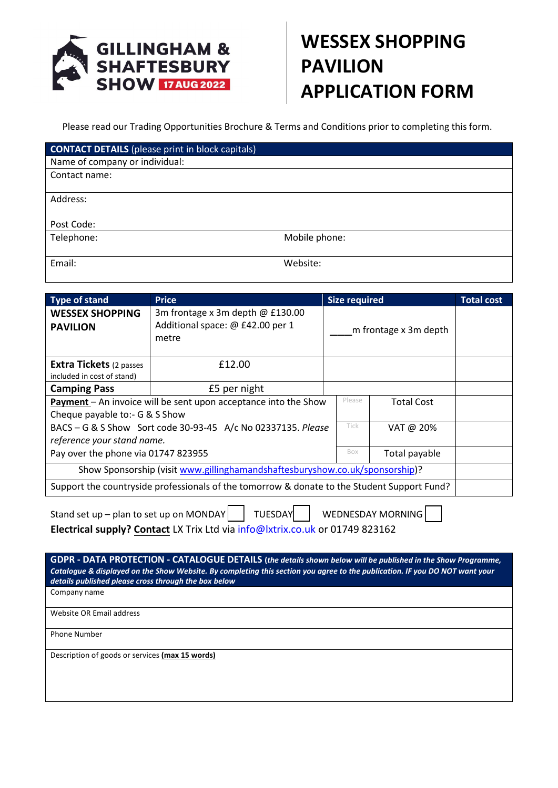

## **WESSEX SHOPPING PAVILION APPLICATION FORM**

Please read our Trading Opportunities Brochure & Terms and Conditions prior to completing this form.

| <b>CONTACT DETAILS</b> (please print in block capitals) |               |
|---------------------------------------------------------|---------------|
| Name of company or individual:                          |               |
| Contact name:                                           |               |
| Address:                                                |               |
|                                                         |               |
| Post Code:                                              |               |
| Telephone:                                              | Mobile phone: |
|                                                         |               |
| Email:                                                  | Website:      |

| Type of stand                                                                                            | <b>Price</b>                                                                  | <b>Size required</b>  |        |                   | <b>Total cost</b> |
|----------------------------------------------------------------------------------------------------------|-------------------------------------------------------------------------------|-----------------------|--------|-------------------|-------------------|
| <b>WESSEX SHOPPING</b><br><b>PAVILION</b>                                                                | 3m frontage x 3m depth @ £130.00<br>Additional space: @ £42.00 per 1<br>metre | m frontage x 3m depth |        |                   |                   |
| <b>Extra Tickets</b> (2 passes<br>included in cost of stand)                                             | £12.00                                                                        |                       |        |                   |                   |
| <b>Camping Pass</b>                                                                                      | £5 per night                                                                  |                       |        |                   |                   |
| <b>Payment</b> – An invoice will be sent upon acceptance into the Show<br>Cheque payable to:- G & S Show |                                                                               |                       | Please | <b>Total Cost</b> |                   |
| BACS - G & S Show Sort code 30-93-45 A/c No 02337135. Please<br>reference your stand name.               |                                                                               |                       | Tick   | VAT @ 20%         |                   |
| Pay over the phone via 01747 823955                                                                      |                                                                               |                       | Box    | Total payable     |                   |
| Show Sponsorship (visit www.gillinghamandshaftesburyshow.co.uk/sponsorship)?                             |                                                                               |                       |        |                   |                   |
| Support the countryside professionals of the tomorrow & donate to the Student Support Fund?              |                                                                               |                       |        |                   |                   |

| Stand set up – plan to set up on MONDAY $\Box$ TUESDAY WEDNESDAY MORNING $\Box$ |  |  |  |  |  |  |
|---------------------------------------------------------------------------------|--|--|--|--|--|--|
| Electrical supply? Contact LX Trix Ltd via info@lxtrix.co.uk or 01749 823162    |  |  |  |  |  |  |

**GDPR - DATA PROTECTION - CATALOGUE DETAILS (***the details shown below will be published in the Show Programme, Catalogue & displayed on the Show Website. By completing this section you agree to the publication. IF you DO NOT want your details published please cross through the box below* Company name Website OR Email address Phone Number Description of goods or services **(max 15 words)**